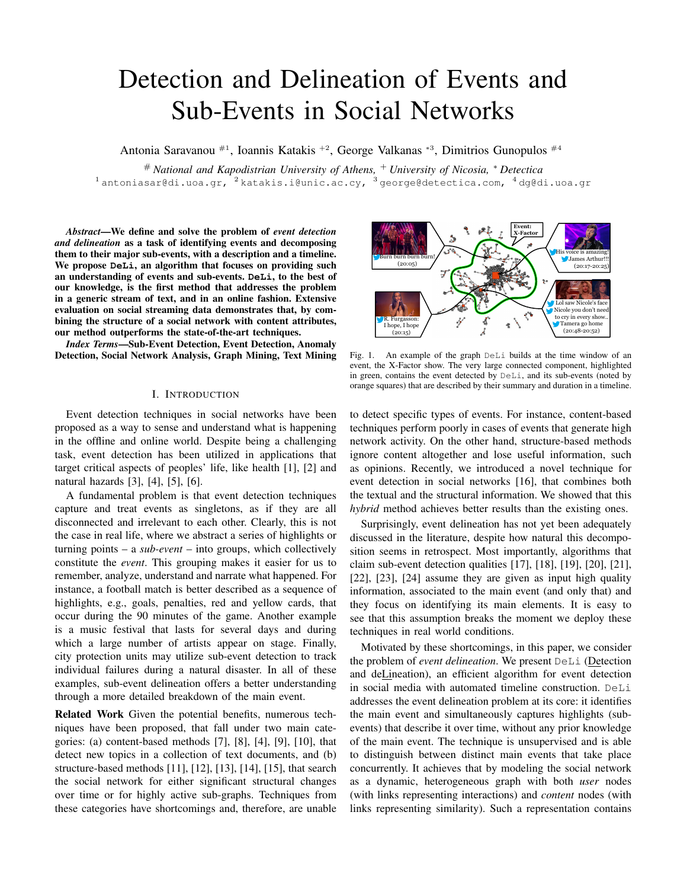# Detection and Delineation of Events and Sub-Events in Social Networks

Antonia Saravanou #1, Ioannis Katakis +2, George Valkanas <sup>∗</sup><sup>3</sup> , Dimitrios Gunopulos #4

# *National and Kapodistrian University of Athens,* <sup>+</sup> *University of Nicosia,* <sup>∗</sup> *Detectica*  $^1$ antoniasar@di.uoa.gr,  $^2$ katakis.i@unic.ac.cy,  $^3$  george@detectica.com,  $^4$ dg@di.uoa.gr

*Abstract*—We define and solve the problem of *event detection and delineation* as a task of identifying events and decomposing them to their major sub-events, with a description and a timeline. We propose **DeLi**, an algorithm that focuses on providing such an understanding of events and sub-events. **DeLi**, to the best of our knowledge, is the first method that addresses the problem in a generic stream of text, and in an online fashion. Extensive evaluation on social streaming data demonstrates that, by combining the structure of a social network with content attributes, our method outperforms the state-of-the-art techniques.

*Index Terms*—Sub-Event Detection, Event Detection, Anomaly Detection, Social Network Analysis, Graph Mining, Text Mining

## I. INTRODUCTION

Event detection techniques in social networks have been proposed as a way to sense and understand what is happening in the offline and online world. Despite being a challenging task, event detection has been utilized in applications that target critical aspects of peoples' life, like health [1], [2] and natural hazards [3], [4], [5], [6].

A fundamental problem is that event detection techniques capture and treat events as singletons, as if they are all disconnected and irrelevant to each other. Clearly, this is not the case in real life, where we abstract a series of highlights or turning points – a *sub-event* – into groups, which collectively constitute the *event*. This grouping makes it easier for us to remember, analyze, understand and narrate what happened. For instance, a football match is better described as a sequence of highlights, e.g., goals, penalties, red and yellow cards, that occur during the 90 minutes of the game. Another example is a music festival that lasts for several days and during which a large number of artists appear on stage. Finally, city protection units may utilize sub-event detection to track individual failures during a natural disaster. In all of these examples, sub-event delineation offers a better understanding through a more detailed breakdown of the main event.

Related Work Given the potential benefits, numerous techniques have been proposed, that fall under two main categories: (a) content-based methods [7], [8], [4], [9], [10], that detect new topics in a collection of text documents, and (b) structure-based methods [11], [12], [13], [14], [15], that search the social network for either significant structural changes over time or for highly active sub-graphs. Techniques from these categories have shortcomings and, therefore, are unable



Fig. 1. An example of the graph DeLi builds at the time window of an event, the X-Factor show. The very large connected component, highlighted in green, contains the event detected by DeLi, and its sub-events (noted by orange squares) that are described by their summary and duration in a timeline.

to detect specific types of events. For instance, content-based techniques perform poorly in cases of events that generate high network activity. On the other hand, structure-based methods ignore content altogether and lose useful information, such as opinions. Recently, we introduced a novel technique for event detection in social networks [16], that combines both the textual and the structural information. We showed that this *hybrid* method achieves better results than the existing ones.

Surprisingly, event delineation has not yet been adequately discussed in the literature, despite how natural this decomposition seems in retrospect. Most importantly, algorithms that claim sub-event detection qualities [17], [18], [19], [20], [21], [22], [23], [24] assume they are given as input high quality information, associated to the main event (and only that) and they focus on identifying its main elements. It is easy to see that this assumption breaks the moment we deploy these techniques in real world conditions.

Motivated by these shortcomings, in this paper, we consider the problem of *event delineation*. We present DeLi (Detection and deLineation), an efficient algorithm for event detection in social media with automated timeline construction. DeLi addresses the event delineation problem at its core: it identifies the main event and simultaneously captures highlights (subevents) that describe it over time, without any prior knowledge of the main event. The technique is unsupervised and is able to distinguish between distinct main events that take place concurrently. It achieves that by modeling the social network as a dynamic, heterogeneous graph with both *user* nodes (with links representing interactions) and *content* nodes (with links representing similarity). Such a representation contains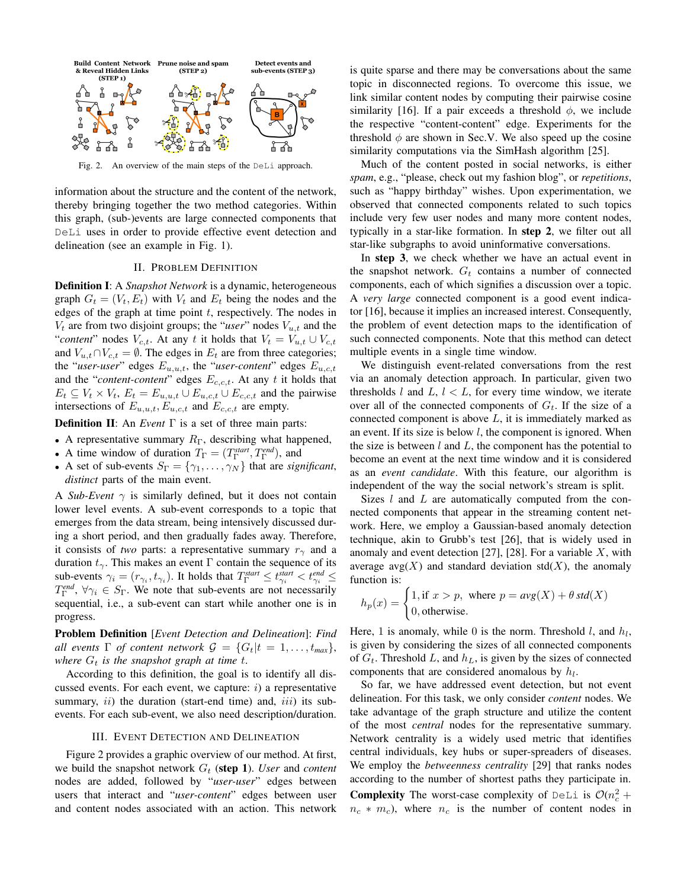

Fig. 2. An overview of the main steps of the DeLi approach.

information about the structure and the content of the network, thereby bringing together the two method categories. Within this graph, (sub-)events are large connected components that DeLi uses in order to provide effective event detection and delineation (see an example in Fig. 1).

### II. PROBLEM DEFINITION

Definition I: A *Snapshot Network* is a dynamic, heterogeneous graph  $G_t = (V_t, E_t)$  with  $V_t$  and  $E_t$  being the nodes and the edges of the graph at time point  $t$ , respectively. The nodes in  $V_t$  are from two disjoint groups; the "*user*" nodes  $V_{u,t}$  and the "*content*" nodes  $V_{c,t}$ . At any t it holds that  $V_t = V_{u,t} \cup V_{c,t}$ and  $V_{u,t} \cap V_{c,t} = \emptyset$ . The edges in  $E_t$  are from three categories; the "*user-user*" edges  $E_{u,u,t}$ , the "*user-content*" edges  $E_{u,c,t}$ and the "*content-content*" edges  $E_{c,c,t}$ . At any t it holds that  $E_t \subseteq V_t \times V_t$ ,  $E_t = E_{u,u,t} \cup E_{u,c,t} \cup E_{c,c,t}$  and the pairwise intersections of  $E_{u,u,t}$ ,  $E_{u,c,t}$  and  $E_{c,c,t}$  are empty.

Definition II: An *Event* Γ is a set of three main parts:

- A representative summary  $R_{\Gamma}$ , describing what happened,
- A time window of duration  $T_{\Gamma} = (T_{\Gamma}^{start}, T_{\Gamma}^{end})$ , and
- A set of sub-events  $S_{\Gamma} = {\gamma_1, \dots, \gamma_N}$  that are *significant*, *distinct* parts of the main event.

A *Sub-Event*  $\gamma$  is similarly defined, but it does not contain lower level events. A sub-event corresponds to a topic that emerges from the data stream, being intensively discussed during a short period, and then gradually fades away. Therefore, it consists of *two* parts: a representative summary  $r<sub>γ</sub>$  and a duration  $t_{\gamma}$ . This makes an event Γ contain the sequence of its sub-events  $\gamma_i = (r_{\gamma_i}, t_{\gamma_i})$ . It holds that  $T_{\Gamma}^{start} \le t_{\gamma_i}^{start} < t_{\gamma_i}^{end} \le t_{\gamma_i}^{end}$  $T_{\Gamma}^{end}$ ,  $\forall \gamma_i \in S_{\Gamma}$ . We note that sub-events are not necessarily sequential, i.e., a sub-event can start while another one is in progress.

Problem Definition [*Event Detection and Delineation*]: *Find all events*  $\Gamma$  *of content network*  $\mathcal{G} = \{G_t | t = 1, \ldots, t_{max}\},$ *where*  $G_t$  *is the snapshot graph at time t.* 

According to this definition, the goal is to identify all discussed events. For each event, we capture:  $i$ ) a representative summary,  $ii)$  the duration (start-end time) and,  $iii)$  its subevents. For each sub-event, we also need description/duration.

#### III. EVENT DETECTION AND DELINEATION

Figure 2 provides a graphic overview of our method. At first, we build the snapshot network  $G_t$  (step 1). *User* and *content* nodes are added, followed by "*user-user*" edges between users that interact and "*user-content*" edges between user and content nodes associated with an action. This network

is quite sparse and there may be conversations about the same topic in disconnected regions. To overcome this issue, we link similar content nodes by computing their pairwise cosine similarity [16]. If a pair exceeds a threshold  $\phi$ , we include the respective "content-content" edge. Experiments for the threshold  $\phi$  are shown in Sec.V. We also speed up the cosine similarity computations via the SimHash algorithm [25].

Much of the content posted in social networks, is either *spam*, e.g., "please, check out my fashion blog", or *repetitions*, such as "happy birthday" wishes. Upon experimentation, we observed that connected components related to such topics include very few user nodes and many more content nodes, typically in a star-like formation. In step 2, we filter out all star-like subgraphs to avoid uninformative conversations.

In step 3, we check whether we have an actual event in the snapshot network.  $G_t$  contains a number of connected components, each of which signifies a discussion over a topic. A *very large* connected component is a good event indicator [16], because it implies an increased interest. Consequently, the problem of event detection maps to the identification of such connected components. Note that this method can detect multiple events in a single time window.

We distinguish event-related conversations from the rest via an anomaly detection approach. In particular, given two thresholds l and  $L, l < L$ , for every time window, we iterate over all of the connected components of  $G_t$ . If the size of a connected component is above  $L$ , it is immediately marked as an event. If its size is below  $l$ , the component is ignored. When the size is between  $l$  and  $L$ , the component has the potential to become an event at the next time window and it is considered as an *event candidate*. With this feature, our algorithm is independent of the way the social network's stream is split.

Sizes  $l$  and  $L$  are automatically computed from the connected components that appear in the streaming content network. Here, we employ a Gaussian-based anomaly detection technique, akin to Grubb's test [26], that is widely used in anomaly and event detection [27], [28]. For a variable  $X$ , with average avg $(X)$  and standard deviation std $(X)$ , the anomaly function is:

$$
h_p(x) = \begin{cases} 1, \text{if } x > p, \text{ where } p = avg(X) + \theta \text{ std}(X) \\ 0, \text{otherwise.} \end{cases}
$$

Here, 1 is anomaly, while 0 is the norm. Threshold  $l$ , and  $h_l$ , is given by considering the sizes of all connected components of  $G_t$ . Threshold L, and  $h<sub>L</sub>$ , is given by the sizes of connected components that are considered anomalous by  $h_l$ .

So far, we have addressed event detection, but not event delineation. For this task, we only consider *content* nodes. We take advantage of the graph structure and utilize the content of the most *central* nodes for the representative summary. Network centrality is a widely used metric that identifies central individuals, key hubs or super-spreaders of diseases. We employ the *betweenness centrality* [29] that ranks nodes according to the number of shortest paths they participate in. **Complexity** The worst-case complexity of  $DeLi$  is  $O(n_c^2 +$  $n_c * m_c$ ), where  $n_c$  is the number of content nodes in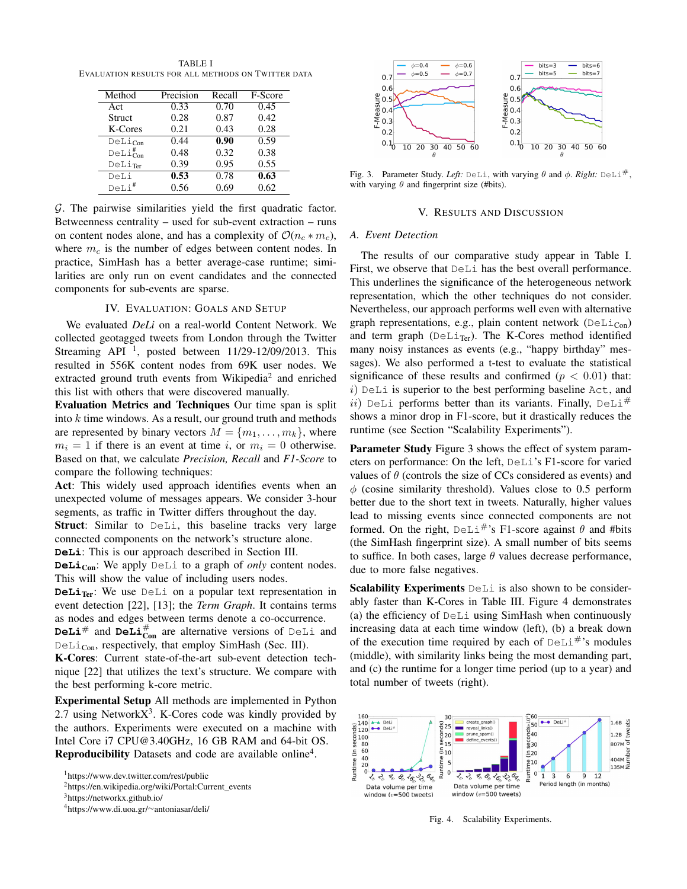TABLE I EVALUATION RESULTS FOR ALL METHODS ON TWITTER DATA

| Method                          | Precision | Recall | F-Score |
|---------------------------------|-----------|--------|---------|
| Act                             | 0.33      | 0.70   | 0.45    |
| <b>Struct</b>                   | 0.28      | 0.87   | 0.42    |
| K-Cores                         | 0.21      | 0.43   | 0.28    |
| $DeLi_{Con}$                    | 0.44      | 0.90   | 0.59    |
| $\text{DeLi}^{\#}_{\text{Con}}$ | 0.48      | 0.32   | 0.38    |
| DeLiTer                         | 0.39      | 0.95   | 0.55    |
| DeLi                            | 0.53      | 0.78   | 0.63    |
| $DeLi$ <sup>#</sup>             | 0.56      | 0.69   | 0.62    |

G. The pairwise similarities yield the first quadratic factor. Betweenness centrality – used for sub-event extraction – runs on content nodes alone, and has a complexity of  $O(n_c * m_c)$ , where  $m<sub>c</sub>$  is the number of edges between content nodes. In practice, SimHash has a better average-case runtime; similarities are only run on event candidates and the connected components for sub-events are sparse.

## IV. EVALUATION: GOALS AND SETUP

We evaluated *DeLi* on a real-world Content Network. We collected geotagged tweets from London through the Twitter Streaming API  $<sup>1</sup>$ , posted between 11/29-12/09/2013. This</sup> resulted in 556K content nodes from 69K user nodes. We extracted ground truth events from Wikipedia<sup>2</sup> and enriched this list with others that were discovered manually.

Evaluation Metrics and Techniques Our time span is split into  $k$  time windows. As a result, our ground truth and methods are represented by binary vectors  $M = \{m_1, \ldots, m_k\}$ , where  $m_i = 1$  if there is an event at time i, or  $m_i = 0$  otherwise. Based on that, we calculate *Precision, Recall* and *F1-Score* to compare the following techniques:

Act: This widely used approach identifies events when an unexpected volume of messages appears. We consider 3-hour segments, as traffic in Twitter differs throughout the day.

Struct: Similar to DeLi, this baseline tracks very large connected components on the network's structure alone. **DeLi**: This is our approach described in Section III.

**DeLi**<sub>Con</sub>: We apply DeLi to a graph of *only* content nodes. This will show the value of including users nodes.

**DeLi**Ter: We use DeLi on a popular text representation in event detection [22], [13]; the *Term Graph*. It contains terms as nodes and edges between terms denote a co-occurrence.

**DeLi**<sup>#</sup> and **DeLi** $_{con}$ <sup>#</sup> are alternative versions of DeLi and  $D$ eLi<sub>Con</sub>, respectively, that employ SimHash (Sec. III).

K-Cores: Current state-of-the-art sub-event detection technique [22] that utilizes the text's structure. We compare with the best performing k-core metric.

Experimental Setup All methods are implemented in Python 2.7 using Network $X<sup>3</sup>$ . K-Cores code was kindly provided by the authors. Experiments were executed on a machine with Intel Core i7 CPU@3.40GHz, 16 GB RAM and 64-bit OS. Reproducibility Datasets and code are available online<sup>4</sup>.

<sup>3</sup>https://networkx.github.io/



Fig. 3. Parameter Study. *Left:* DeLi, with varying  $\theta$  and  $\phi$ . *Right:* DeLi<sup>#</sup>, with varying  $\theta$  and fingerprint size (#bits).

#### V. RESULTS AND DISCUSSION

#### *A. Event Detection*

The results of our comparative study appear in Table I. First, we observe that DeLi has the best overall performance. This underlines the significance of the heterogeneous network representation, which the other techniques do not consider. Nevertheless, our approach performs well even with alternative graph representations, e.g., plain content network ( $D \in \text{Li}_{Con}$ ) and term graph ( $D$ eLi<sub>Ter</sub>). The K-Cores method identified many noisy instances as events (e.g., "happy birthday" messages). We also performed a t-test to evaluate the statistical significance of these results and confirmed ( $p < 0.01$ ) that:  $i)$  DeLi is superior to the best performing baseline Act, and ii) DeLi performs better than its variants. Finally, DeLi<sup>#</sup> shows a minor drop in F1-score, but it drastically reduces the runtime (see Section "Scalability Experiments").

Parameter Study Figure 3 shows the effect of system parameters on performance: On the left, DeLi's F1-score for varied values of  $\theta$  (controls the size of CCs considered as events) and  $\phi$  (cosine similarity threshold). Values close to 0.5 perform better due to the short text in tweets. Naturally, higher values lead to missing events since connected components are not formed. On the right,  $D \in L_1^{\#}$ 's F1-score against  $\theta$  and #bits (the SimHash fingerprint size). A small number of bits seems to suffice. In both cases, large  $\theta$  values decrease performance, due to more false negatives.

Scalability Experiments DeLi is also shown to be considerably faster than K-Cores in Table III. Figure 4 demonstrates (a) the efficiency of DeLi using SimHash when continuously increasing data at each time window (left), (b) a break down of the execution time required by each of  $D \in L_1^{\#}$ 's modules (middle), with similarity links being the most demanding part, and (c) the runtime for a longer time period (up to a year) and total number of tweets (right).



Fig. 4. Scalability Experiments.

<sup>1</sup>https://www.dev.twitter.com/rest/public

<sup>&</sup>lt;sup>2</sup>https://en.wikipedia.org/wiki/Portal:Current\_events

<sup>4</sup>https://www.di.uoa.gr/∼antoniasar/deli/